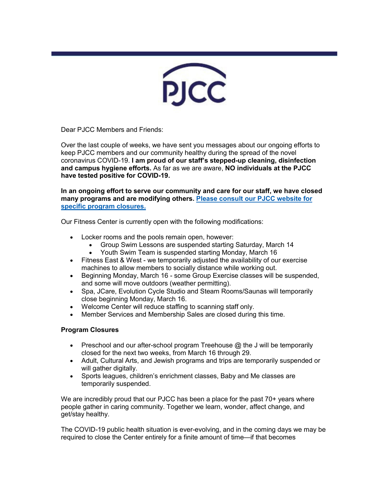

Dear PJCC Members and Friends:

Over the last couple of weeks, we have sent you messages about our ongoing efforts to keep PJCC members and our community healthy during the spread of the novel coronavirus COVID-19. **I am proud of our staff's stepped-up cleaning, disinfection and campus hygiene efforts.** As far as we are aware, **NO individuals at the PJCC have tested positive for COVID-19.**

**In an ongoing effort to serve our community and care for our staff, we have closed many programs and are modifying others. [Please consult our PJCC website for](https://pjcc.acemlna.com/lt.php?notrack=1¬rack=1&s=bad97c655476f96a390a72c05a742011&i=136A283A60A867)  [specific program closures.](https://pjcc.acemlna.com/lt.php?notrack=1¬rack=1&s=bad97c655476f96a390a72c05a742011&i=136A283A60A867)**

Our Fitness Center is currently open with the following modifications:

- Locker rooms and the pools remain open, however:
	- Group Swim Lessons are suspended starting Saturday, March 14
	- Youth Swim Team is suspended starting Monday, March 16
- Fitness East & West we temporarily adjusted the availability of our exercise machines to allow members to socially distance while working out.
- Beginning Monday, March 16 some Group Exercise classes will be suspended, and some will move outdoors (weather permitting).
- Spa, JCare, Evolution Cycle Studio and Steam Rooms/Saunas will temporarily close beginning Monday, March 16.
- Welcome Center will reduce staffing to scanning staff only.
- Member Services and Membership Sales are closed during this time.

## **Program Closures**

- Preschool and our after-school program Treehouse @ the J will be temporarily closed for the next two weeks, from March 16 through 29.
- Adult, Cultural Arts, and Jewish programs and trips are temporarily suspended or will gather digitally.
- Sports leagues, children's enrichment classes, Baby and Me classes are temporarily suspended.

We are incredibly proud that our PJCC has been a place for the past 70+ years where people gather in caring community. Together we learn, wonder, affect change, and get/stay healthy.

The COVID-19 public health situation is ever-evolving, and in the coming days we may be required to close the Center entirely for a finite amount of time—if that becomes